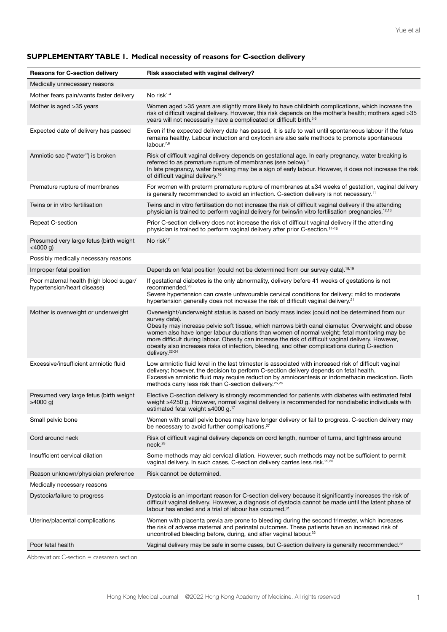| <b>Reasons for C-section delivery</b>                                  | Risk associated with vaginal delivery?                                                                                                                                                                                                                                                                                                                                                                                                                                                                                                                  |  |
|------------------------------------------------------------------------|---------------------------------------------------------------------------------------------------------------------------------------------------------------------------------------------------------------------------------------------------------------------------------------------------------------------------------------------------------------------------------------------------------------------------------------------------------------------------------------------------------------------------------------------------------|--|
| Medically unnecessary reasons                                          |                                                                                                                                                                                                                                                                                                                                                                                                                                                                                                                                                         |  |
| Mother fears pain/wants faster delivery                                | No risk $1-4$                                                                                                                                                                                                                                                                                                                                                                                                                                                                                                                                           |  |
| Mother is aged > 35 years                                              | Women aged >35 years are slightly more likely to have childbirth complications, which increase the<br>risk of difficult vaginal delivery. However, this risk depends on the mother's health; mothers aged >35<br>years will not necessarily have a complicated or difficult birth. <sup>5,6</sup>                                                                                                                                                                                                                                                       |  |
| Expected date of delivery has passed                                   | Even if the expected delivery date has passed, it is safe to wait until spontaneous labour if the fetus<br>remains healthy. Labour induction and oxytocin are also safe methods to promote spontaneous<br>labour. $^{7,8}$                                                                                                                                                                                                                                                                                                                              |  |
| Amniotic sac ("water") is broken                                       | Risk of difficult vaginal delivery depends on gestational age. In early pregnancy, water breaking is<br>referred to as premature rupture of membranes (see below). <sup>9</sup><br>In late pregnancy, water breaking may be a sign of early labour. However, it does not increase the risk<br>of difficult vaginal delivery. <sup>10</sup>                                                                                                                                                                                                              |  |
| Premature rupture of membranes                                         | For women with preterm premature rupture of membranes at ≥34 weeks of gestation, vaginal delivery<br>is generally recommended to avoid an infection. C-section delivery is not necessary. <sup>11</sup>                                                                                                                                                                                                                                                                                                                                                 |  |
| Twins or in vitro fertilisation                                        | Twins and in vitro fertilisation do not increase the risk of difficult vaginal delivery if the attending<br>physician is trained to perform vaginal delivery for twins/in vitro fertilisation pregnancies. <sup>12,13</sup>                                                                                                                                                                                                                                                                                                                             |  |
| Repeat C-section                                                       | Prior C-section delivery does not increase the risk of difficult vaginal delivery if the attending<br>physician is trained to perform vaginal delivery after prior C-section. <sup>14-16</sup>                                                                                                                                                                                                                                                                                                                                                          |  |
| Presumed very large fetus (birth weight<br>$<$ 4000 $g$ )              | No risk <sup>17</sup>                                                                                                                                                                                                                                                                                                                                                                                                                                                                                                                                   |  |
| Possibly medically necessary reasons                                   |                                                                                                                                                                                                                                                                                                                                                                                                                                                                                                                                                         |  |
| Improper fetal position                                                | Depends on fetal position (could not be determined from our survey data). <sup>18,19</sup>                                                                                                                                                                                                                                                                                                                                                                                                                                                              |  |
| Poor maternal health (high blood sugar/<br>hypertension/heart disease) | If gestational diabetes is the only abnormality, delivery before 41 weeks of gestations is not<br>recommended. <sup>20</sup><br>Severe hypertension can create unfavourable cervical conditions for delivery; mild to moderate<br>hypertension generally does not increase the risk of difficult vaginal delivery. <sup>21</sup>                                                                                                                                                                                                                        |  |
| Mother is overweight or underweight                                    | Overweight/underweight status is based on body mass index (could not be determined from our<br>survey data).<br>Obesity may increase pelvic soft tissue, which narrows birth canal diameter. Overweight and obese<br>women also have longer labour durations than women of normal weight; fetal monitoring may be<br>more difficult during labour. Obesity can increase the risk of difficult vaginal delivery. However,<br>obesity also increases risks of infection, bleeding, and other complications during C-section<br>delivery. <sup>22-24</sup> |  |
| Excessive/insufficient amniotic fluid                                  | Low amniotic fluid level in the last trimester is associated with increased risk of difficult vaginal<br>delivery; however, the decision to perform C-section delivery depends on fetal health.<br>Excessive amniotic fluid may require reduction by amniocentesis or indomethacin medication. Both<br>methods carry less risk than C-section delivery. <sup>25,26</sup>                                                                                                                                                                                |  |
| Presumed very large fetus (birth weight<br>≥4000 g)                    | Elective C-section delivery is strongly recommended for patients with diabetes with estimated fetal<br>weight ≥4250 g. However, normal vaginal delivery is recommended for nondiabetic individuals with<br>estimated fetal weight $\geq 4000$ g. <sup>17</sup>                                                                                                                                                                                                                                                                                          |  |
| Small pelvic bone                                                      | Women with small pelvic bones may have longer delivery or fail to progress. C-section delivery may<br>be necessary to avoid further complications. <sup>27</sup>                                                                                                                                                                                                                                                                                                                                                                                        |  |
| Cord around neck                                                       | Risk of difficult vaginal delivery depends on cord length, number of turns, and tightness around<br>neck. <sup>28</sup>                                                                                                                                                                                                                                                                                                                                                                                                                                 |  |
| Insufficient cervical dilation                                         | Some methods may aid cervical dilation. However, such methods may not be sufficient to permit<br>vaginal delivery. In such cases, C-section delivery carries less risk. <sup>29,30</sup>                                                                                                                                                                                                                                                                                                                                                                |  |
| Reason unknown/physician preference                                    | Risk cannot be determined.                                                                                                                                                                                                                                                                                                                                                                                                                                                                                                                              |  |
| Medically necessary reasons                                            |                                                                                                                                                                                                                                                                                                                                                                                                                                                                                                                                                         |  |
| Dystocia/failure to progress                                           | Dystocia is an important reason for C-section delivery because it significantly increases the risk of<br>difficult vaginal delivery. However, a diagnosis of dystocia cannot be made until the latent phase of<br>labour has ended and a trial of labour has occurred. <sup>31</sup>                                                                                                                                                                                                                                                                    |  |
| Uterine/placental complications                                        | Women with placenta previa are prone to bleeding during the second trimester, which increases<br>the risk of adverse maternal and perinatal outcomes. These patients have an increased risk of<br>uncontrolled bleeding before, during, and after vaginal labour. <sup>32</sup>                                                                                                                                                                                                                                                                         |  |
| Poor fetal health                                                      | Vaginal delivery may be safe in some cases, but C-section delivery is generally recommended. <sup>33</sup>                                                                                                                                                                                                                                                                                                                                                                                                                                              |  |

# **SUPPLEMENTARY TABLE 1. Medical necessity of reasons for C-section delivery**

Abbreviation: C-section = caesarean section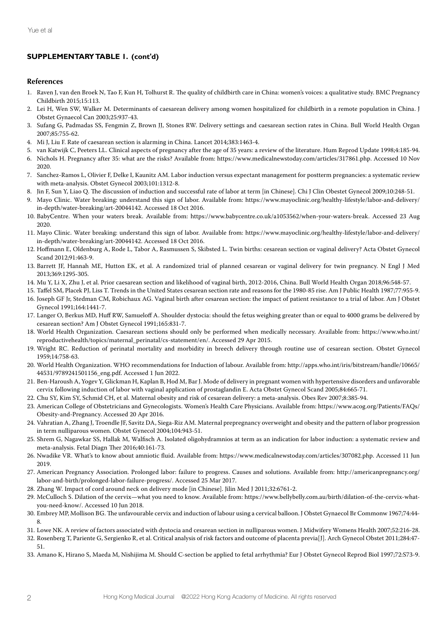## **SUPPLEMENTARY TABLE 1. (cont'd)**

#### **References**

- 1. Raven J, van den Broek N, Tao F, Kun H, Tolhurst R. The quality of childbirth care in China: women's voices: a qualitative study. BMC Pregnancy Childbirth 2015;15:113.
- 2. Lei H, Wen SW, Walker M. Determinants of caesarean delivery among women hospitalized for childbirth in a remote population in China. J Obstet Gynaecol Can 2003;25:937-43.
- 3. Sufang G, Padmadas SS, Fengmin Z, Brown JJ, Stones RW. Delivery settings and caesarean section rates in China. Bull World Health Organ 2007;85:755-62.
- 4. Mi J, Liu F. Rate of caesarean section is alarming in China. Lancet 2014;383:1463-4.
- 5. van Katwijk C, Peeters LL. Clinical aspects of pregnancy after the age of 35 years: a review of the literature. Hum Reprod Update 1998;4:185-94.
- 6. Nichols H. Pregnancy after 35: what are the risks? Available from: https://www.medicalnewstoday.com/articles/317861.php. Accessed 10 Nov 2020.
- 7. Sanchez-Ramos L, Olivier F, Delke I, Kaunitz AM. Labor induction versus expectant management for postterm pregnancies: a systematic review with meta-analysis. Obstet Gynecol 2003;101:1312-8.
- 8. Jin F, Sun Y, Liao Q. The discussion of induction and successful rate of labor at term [in Chinese]. Chi J Clin Obestet Gynecol 2009;10:248-51.
- 9. Mayo Clinic. Water breaking: understand this sign of labor. Available from: https://www.mayoclinic.org/healthy-lifestyle/labor-and-delivery/ in-depth/water-breaking/art-20044142. Accessed 18 Oct 2016.
- 10. BabyCentre. When your waters break. Available from: https://www.babycentre.co.uk/a1053562/when-your-waters-break. Accessed 23 Aug 2020.
- 11. Mayo Clinic. Water breaking: understand this sign of labor. Available from: https://www.mayoclinic.org/healthy-lifestyle/labor-and-delivery/ in-depth/water-breaking/art-20044142. Accessed 18 Oct 2016.
- 12. Hoffmann E, Oldenburg A, Rode L, Tabor A, Rasmussen S, Skibsted L. Twin births: cesarean section or vaginal delivery? Acta Obstet Gynecol Scand 2012;91:463-9.
- 13. Barrett JF, Hannah ME, Hutton EK, et al. A randomized trial of planned cesarean or vaginal delivery for twin pregnancy. N Engl J Med 2013;369:1295-305.
- 14. Mu Y, Li X, Zhu J, et al. Prior caesarean section and likelihood of vaginal birth, 2012-2016, China. Bull World Health Organ 2018;96:548-57.
- 15. Taffel SM, Placek PJ, Liss T. Trends in the United States cesarean section rate and reasons for the 1980-85 rise. Am J Public Health 1987;77:955-9.
- 16. Joseph GF Jr, Stedman CM, Robichaux AG. Vaginal birth after cesarean section: the impact of patient resistance to a trial of labor. Am J Obstet Gynecol 1991;164:1441-7.
- 17. Langer O, Berkus MD, Huff RW, Samueloff A. Shoulder dystocia: should the fetus weighing greater than or equal to 4000 grams be delivered by cesarean section? Am J Obstet Gynecol 1991;165:831-7.
- 18. World Health Organization. Caesarean sections should only be performed when medically necessary. Available from: https://www.who.int/ reproductivehealth/topics/maternal\_perinatal/cs-statement/en/. Accessed 29 Apr 2015.
- 19. Wright RC. Reduction of perinatal mortality and morbidity in breech delivery through routine use of cesarean section. Obstet Gynecol 1959;14:758-63.
- 20. World Health Organization. WHO recommendations for Induction of labour. Available from: http://apps.who.int/iris/bitstream/handle/10665/ 44531/9789241501156\_eng.pdf. Accessed 1 Jun 2022.
- 21. Ben-Haroush A, Yogev Y, Glickman H, Kaplan B, Hod M, Bar J. Mode of delivery in pregnant women with hypertensive disorders and unfavorable cervix following induction of labor with vaginal application of prostaglandin E. Acta Obstet Gynecol Scand 2005;84:665-71.
- 22. Chu SY, Kim SY, Schmid CH, et al. Maternal obesity and risk of cesarean delivery: a meta-analysis. Obes Rev 2007;8:385-94.
- 23. American College of Obstetricians and Gynecologists. Women's Health Care Physicians. Available from: https://www.acog.org/Patients/FAQs/ Obesity-and-Pregnancy. Accessed 20 Apr 2016.
- 24. Vahratian A, Zhang J, Troendle JF, Savitz DA, Siega-Riz AM. Maternal prepregnancy overweight and obesity and the pattern of labor progression in term nulliparous women. Obstet Gynecol 2004;104:943-51.
- 25. Shrem G, Nagawkar SS, Hallak M, Walfisch A. Isolated oligohydramnios at term as an indication for labor induction: a systematic review and meta-analysis. Fetal Diagn Ther 2016;40:161-73.
- 26. Nwadike VR. What's to know about amniotic fluid. Available from: https://www.medicalnewstoday.com/articles/307082.php. Accessed 11 Jun 2019.
- 27. American Pregnancy Association. Prolonged labor: failure to progress. Causes and solutions. Available from: http://americanpregnancy.org/ labor-and-birth/prolonged-labor-failure-progress/. Accessed 25 Mar 2017.
- 28. Zhang W. Impact of cord around neck on delivery mode [in Chinese]. Jilin Med J 2011;32:6761-2.
- 29. McCulloch S. Dilation of the cervix—what you need to know. Available from: https://www.bellybelly.com.au/birth/dilation-of-the-cervix-whatyou-need-know/. Accessed 10 Jun 2018.
- 30. Embrey MP, Mollison BG. The unfavourable cervix and induction of labour using a cervical balloon. J Obstet Gynaecol Br Commonw 1967;74:44- 8.
- 31. Lowe NK. A review of factors associated with dystocia and cesarean section in nulliparous women. J Midwifery Womens Health 2007;52:216-28.
- 32. Rosenberg T, Pariente G, Sergienko R, et al. Critical analysis of risk factors and outcome of placenta previa[J]. Arch Gynecol Obstet 2011;284:47- 51.
- 33. Amano K, Hirano S, Maeda M, Nishijima M. Should C-section be applied to fetal arrhythmia? Eur J Obstet Gynecol Reprod Biol 1997;72:S73-9.